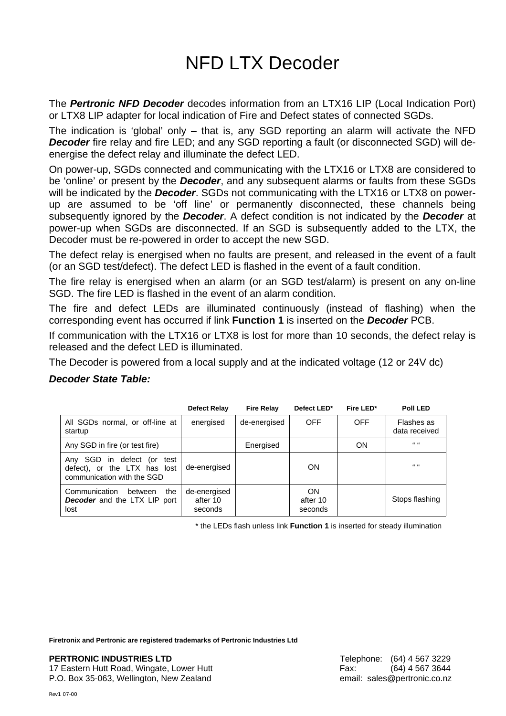## NFD LTX Decoder

The *Pertronic NFD Decoder* decodes information from an LTX16 LIP (Local Indication Port) or LTX8 LIP adapter for local indication of Fire and Defect states of connected SGDs.

The indication is 'global' only – that is, any SGD reporting an alarm will activate the NFD **Decoder** fire relay and fire LED; and any SGD reporting a fault (or disconnected SGD) will deenergise the defect relay and illuminate the defect LED.

On power-up, SGDs connected and communicating with the LTX16 or LTX8 are considered to be 'online' or present by the *Decoder*, and any subsequent alarms or faults from these SGDs will be indicated by the *Decoder*. SGDs not communicating with the LTX16 or LTX8 on powerup are assumed to be 'off line' or permanently disconnected, these channels being subsequently ignored by the *Decoder*. A defect condition is not indicated by the *Decoder* at power-up when SGDs are disconnected. If an SGD is subsequently added to the LTX, the Decoder must be re-powered in order to accept the new SGD.

The defect relay is energised when no faults are present, and released in the event of a fault (or an SGD test/defect). The defect LED is flashed in the event of a fault condition.

The fire relay is energised when an alarm (or an SGD test/alarm) is present on any on-line SGD. The fire LED is flashed in the event of an alarm condition.

The fire and defect LEDs are illuminated continuously (instead of flashing) when the corresponding event has occurred if link **Function 1** is inserted on the *Decoder* PCB.

If communication with the LTX16 or LTX8 is lost for more than 10 seconds, the defect relay is released and the defect LED is illuminated.

The Decoder is powered from a local supply and at the indicated voltage (12 or 24V dc)

## *Decoder State Table:*

|                                                                                          | Defect Relay                        | <b>Fire Relay</b> | Defect LED*               | Fire LED*  | <b>Poll LED</b>             |
|------------------------------------------------------------------------------------------|-------------------------------------|-------------------|---------------------------|------------|-----------------------------|
| All SGDs normal, or off-line at<br>startup                                               | energised                           | de-energised      | <b>OFF</b>                | <b>OFF</b> | Flashes as<br>data received |
| Any SGD in fire (or test fire)                                                           |                                     | Energised         |                           | ON         | $66 - 66$                   |
| Any SGD in defect (or test<br>defect), or the LTX has lost<br>communication with the SGD | de-energised                        |                   | ON                        |            | $66 - 66$                   |
| Communication<br>the<br>between<br><b>Decoder</b> and the LTX LIP port<br>lost           | de-energised<br>after 10<br>seconds |                   | ON<br>after 10<br>seconds |            | Stops flashing              |

\* the LEDs flash unless link **Function 1** is inserted for steady illumination

**Firetronix and Pertronic are registered trademarks of Pertronic Industries Ltd**